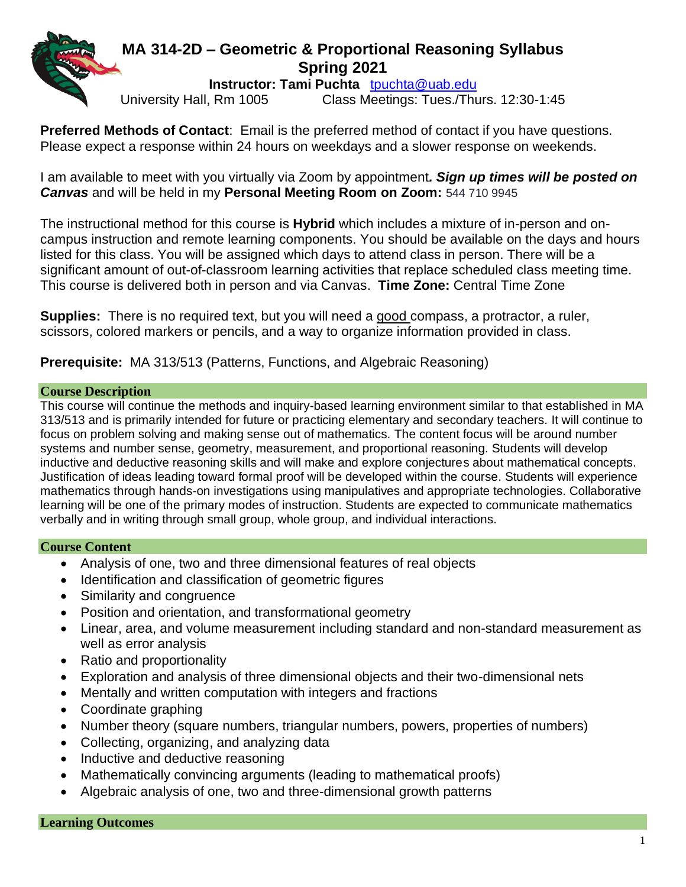# **MA 314-2D – Geometric & Proportional Reasoning Syllabus Spring 2021**

**Instructor: Tami Puchta** [tpuchta@uab.edu](mailto:tpuchta@uab.edu)

University Hall, Rm 1005 Class Meetings: Tues./Thurs. 12:30-1:45

**Preferred Methods of Contact**: Email is the preferred method of contact if you have questions. Please expect a response within 24 hours on weekdays and a slower response on weekends.

I am available to meet with you virtually via Zoom by appointment*. Sign up times will be posted on Canvas* and will be held in my **Personal Meeting Room on Zoom:** 544 710 9945

The instructional method for this course is **Hybrid** which includes a mixture of in-person and oncampus instruction and remote learning components. You should be available on the days and hours listed for this class. You will be assigned which days to attend class in person. There will be a significant amount of out-of-classroom learning activities that replace scheduled class meeting time. This course is delivered both in person and via Canvas. **Time Zone:** Central Time Zone

**Supplies:** There is no required text, but you will need a good compass, a protractor, a ruler, scissors, colored markers or pencils, and a way to organize information provided in class.

**Prerequisite:** MA 313/513 (Patterns, Functions, and Algebraic Reasoning)

### **Course Description**

This course will continue the methods and inquiry-based learning environment similar to that established in MA 313/513 and is primarily intended for future or practicing elementary and secondary teachers. It will continue to focus on problem solving and making sense out of mathematics. The content focus will be around number systems and number sense, geometry, measurement, and proportional reasoning. Students will develop inductive and deductive reasoning skills and will make and explore conjectures about mathematical concepts. Justification of ideas leading toward formal proof will be developed within the course. Students will experience mathematics through hands-on investigations using manipulatives and appropriate technologies. Collaborative learning will be one of the primary modes of instruction. Students are expected to communicate mathematics verbally and in writing through small group, whole group, and individual interactions.

# **Course Content**

- Analysis of one, two and three dimensional features of real objects
- Identification and classification of geometric figures
- Similarity and congruence
- Position and orientation, and transformational geometry
- Linear, area, and volume measurement including standard and non-standard measurement as well as error analysis
- Ratio and proportionality
- Exploration and analysis of three dimensional objects and their two-dimensional nets
- Mentally and written computation with integers and fractions
- Coordinate graphing
- Number theory (square numbers, triangular numbers, powers, properties of numbers)
- Collecting, organizing, and analyzing data
- Inductive and deductive reasoning
- Mathematically convincing arguments (leading to mathematical proofs)
- Algebraic analysis of one, two and three-dimensional growth patterns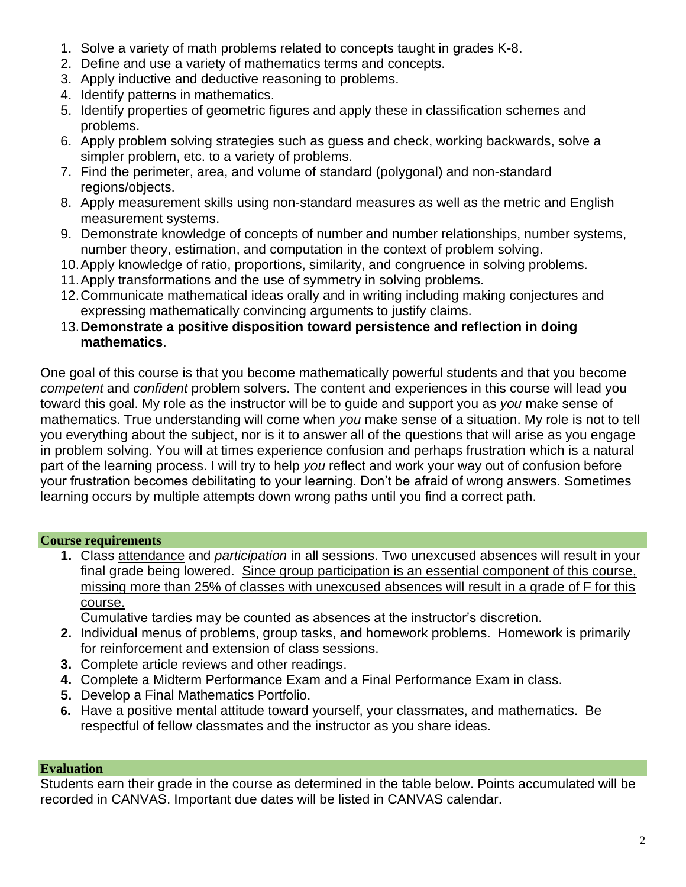- 1. Solve a variety of math problems related to concepts taught in grades K-8.
- 2. Define and use a variety of mathematics terms and concepts.
- 3. Apply inductive and deductive reasoning to problems.
- 4. Identify patterns in mathematics.
- 5. Identify properties of geometric figures and apply these in classification schemes and problems.
- 6. Apply problem solving strategies such as guess and check, working backwards, solve a simpler problem, etc. to a variety of problems.
- 7. Find the perimeter, area, and volume of standard (polygonal) and non-standard regions/objects.
- 8. Apply measurement skills using non-standard measures as well as the metric and English measurement systems.
- 9. Demonstrate knowledge of concepts of number and number relationships, number systems, number theory, estimation, and computation in the context of problem solving.
- 10.Apply knowledge of ratio, proportions, similarity, and congruence in solving problems.
- 11.Apply transformations and the use of symmetry in solving problems.
- 12.Communicate mathematical ideas orally and in writing including making conjectures and expressing mathematically convincing arguments to justify claims.
- 13.**Demonstrate a positive disposition toward persistence and reflection in doing mathematics**.

One goal of this course is that you become mathematically powerful students and that you become *competent* and *confident* problem solvers. The content and experiences in this course will lead you toward this goal. My role as the instructor will be to guide and support you as *you* make sense of mathematics. True understanding will come when *you* make sense of a situation. My role is not to tell you everything about the subject, nor is it to answer all of the questions that will arise as you engage in problem solving. You will at times experience confusion and perhaps frustration which is a natural part of the learning process. I will try to help *you* reflect and work your way out of confusion before your frustration becomes debilitating to your learning. Don't be afraid of wrong answers. Sometimes learning occurs by multiple attempts down wrong paths until you find a correct path.

# **Course requirements**

**1.** Class attendance and *participation* in all sessions. Two unexcused absences will result in your final grade being lowered. Since group participation is an essential component of this course, missing more than 25% of classes with unexcused absences will result in a grade of F for this course.

Cumulative tardies may be counted as absences at the instructor's discretion.

- **2.** Individual menus of problems, group tasks, and homework problems. Homework is primarily for reinforcement and extension of class sessions.
- **3.** Complete article reviews and other readings.
- **4.** Complete a Midterm Performance Exam and a Final Performance Exam in class.
- **5.** Develop a Final Mathematics Portfolio.
- **6.** Have a positive mental attitude toward yourself, your classmates, and mathematics. Be respectful of fellow classmates and the instructor as you share ideas.

# **Evaluation**

Students earn their grade in the course as determined in the table below. Points accumulated will be recorded in CANVAS. Important due dates will be listed in CANVAS calendar.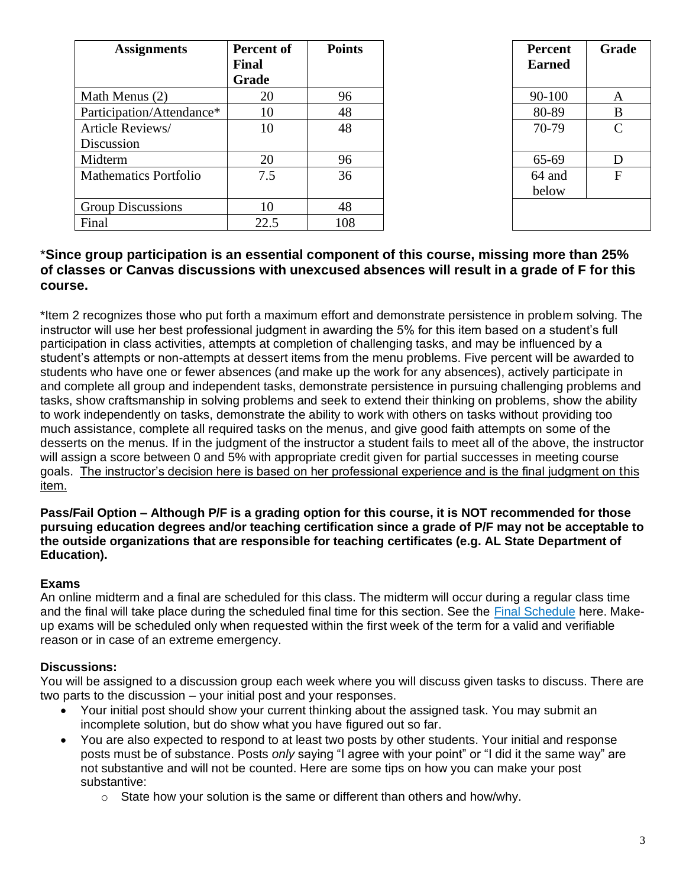| <b>Assignments</b>           | Percent of   | <b>Points</b> | Percent       | Gra          |
|------------------------------|--------------|---------------|---------------|--------------|
|                              | <b>Final</b> |               | <b>Earned</b> |              |
|                              | Grade        |               |               |              |
| Math Menus (2)               | 20           | 96            | 90-100        | $\mathbf A$  |
| Participation/Attendance*    | 10           | 48            | 80-89         | B            |
| Article Reviews/             | 10           | 48            | 70-79         | C            |
| Discussion                   |              |               |               |              |
| Midterm                      | 20           | 96            | 65-69         | D            |
| <b>Mathematics Portfolio</b> | 7.5          | 36            | 64 and        | $\mathbf{F}$ |
|                              |              |               | below         |              |
| <b>Group Discussions</b>     | 10           | 48            |               |              |
| Final                        | 22.5         | 108           |               |              |

| ent of<br>le     | <b>Points</b> | <b>Percent</b><br><b>Earned</b> | Grade            |
|------------------|---------------|---------------------------------|------------------|
| 20               | 96            | 90-100                          | A                |
| 10               | 48            | 80-89                           | B                |
| 10               | 48            | 70-79                           | $\mathbf C$      |
|                  | 96            | 65-69                           | D                |
| $\frac{20}{7.5}$ | 36            | 64 and<br>below                 | $\boldsymbol{F}$ |
| 10               | 48            |                                 |                  |
| 2.5              | 108           |                                 |                  |

# \***Since group participation is an essential component of this course, missing more than 25% of classes or Canvas discussions with unexcused absences will result in a grade of F for this course.**

\*Item 2 recognizes those who put forth a maximum effort and demonstrate persistence in problem solving. The instructor will use her best professional judgment in awarding the 5% for this item based on a student's full participation in class activities, attempts at completion of challenging tasks, and may be influenced by a student's attempts or non-attempts at dessert items from the menu problems. Five percent will be awarded to students who have one or fewer absences (and make up the work for any absences), actively participate in and complete all group and independent tasks, demonstrate persistence in pursuing challenging problems and tasks, show craftsmanship in solving problems and seek to extend their thinking on problems, show the ability to work independently on tasks, demonstrate the ability to work with others on tasks without providing too much assistance, complete all required tasks on the menus, and give good faith attempts on some of the desserts on the menus. If in the judgment of the instructor a student fails to meet all of the above, the instructor will assign a score between 0 and 5% with appropriate credit given for partial successes in meeting course goals. The instructor's decision here is based on her professional experience and is the final judgment on this item.

**Pass/Fail Option – Although P/F is a grading option for this course, it is NOT recommended for those pursuing education degrees and/or teaching certification since a grade of P/F may not be acceptable to the outside organizations that are responsible for teaching certificates (e.g. AL State Department of Education).**

# **Exams**

An online midterm and a final are scheduled for this class. The midterm will occur during a regular class time and the final will take place during the scheduled final time for this section. See the [Final Schedule](https://www.uab.edu/students/academics/final-exams) here. Makeup exams will be scheduled only when requested within the first week of the term for a valid and verifiable reason or in case of an extreme emergency.

### **Discussions:**

You will be assigned to a discussion group each week where you will discuss given tasks to discuss. There are two parts to the discussion – your initial post and your responses.

- Your initial post should show your current thinking about the assigned task. You may submit an incomplete solution, but do show what you have figured out so far.
- You are also expected to respond to at least two posts by other students. Your initial and response posts must be of substance. Posts *only* saying "I agree with your point" or "I did it the same way" are not substantive and will not be counted. Here are some tips on how you can make your post substantive:
	- $\circ$  State how your solution is the same or different than others and how/why.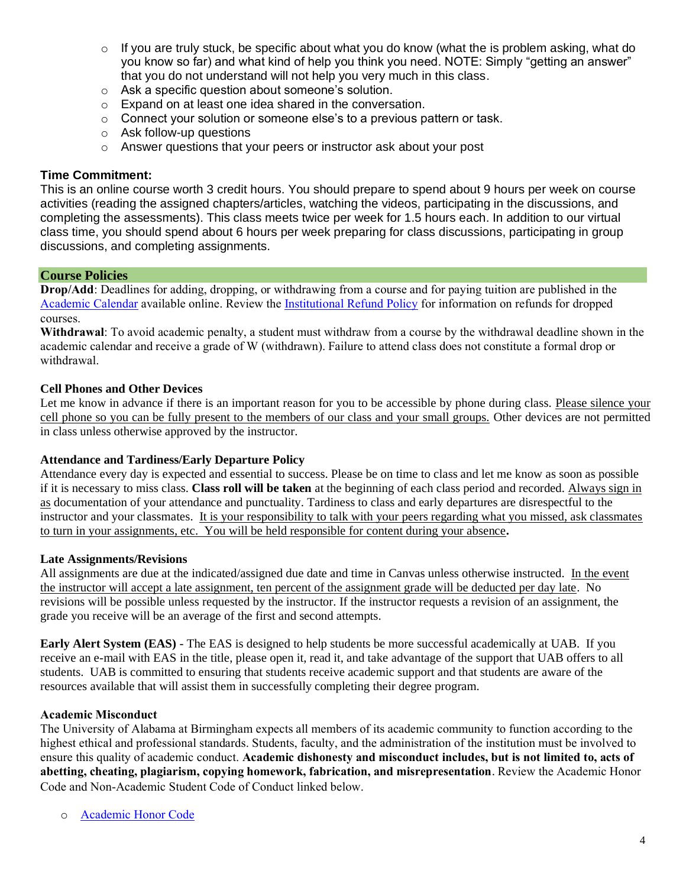- $\circ$  If you are truly stuck, be specific about what you do know (what the is problem asking, what do you know so far) and what kind of help you think you need. NOTE: Simply "getting an answer" that you do not understand will not help you very much in this class.
- o Ask a specific question about someone's solution.
- o Expand on at least one idea shared in the conversation.
- o Connect your solution or someone else's to a previous pattern or task.
- o Ask follow-up questions
- o Answer questions that your peers or instructor ask about your post

#### **Time Commitment:**

This is an online course worth 3 credit hours. You should prepare to spend about 9 hours per week on course activities (reading the assigned chapters/articles, watching the videos, participating in the discussions, and completing the assessments). This class meets twice per week for 1.5 hours each. In addition to our virtual class time, you should spend about 6 hours per week preparing for class discussions, participating in group discussions, and completing assignments.

#### **Course Policies**

**Drop/Add**: Deadlines for adding, dropping, or withdrawing from a course and for paying tuition are published in the [Academic Calendar](https://www.uab.edu/students/academics/academic-calendar) available online. Review the [Institutional Refund Policy](https://www.uab.edu/students/one-stop/policies/institutional-refund-policy) for information on refunds for dropped courses.

**Withdrawal**: To avoid academic penalty, a student must withdraw from a course by the withdrawal deadline shown in the academic calendar and receive a grade of W (withdrawn). Failure to attend class does not constitute a formal drop or withdrawal.

#### **Cell Phones and Other Devices**

Let me know in advance if there is an important reason for you to be accessible by phone during class. Please silence your cell phone so you can be fully present to the members of our class and your small groups. Other devices are not permitted in class unless otherwise approved by the instructor.

#### **Attendance and Tardiness/Early Departure Policy**

Attendance every day is expected and essential to success. Please be on time to class and let me know as soon as possible if it is necessary to miss class. **Class roll will be taken** at the beginning of each class period and recorded. Always sign in as documentation of your attendance and punctuality. Tardiness to class and early departures are disrespectful to the instructor and your classmates. It is your responsibility to talk with your peers regarding what you missed, ask classmates to turn in your assignments, etc. You will be held responsible for content during your absence**.** 

#### **Late Assignments/Revisions**

All assignments are due at the indicated/assigned due date and time in Canvas unless otherwise instructed. In the event the instructor will accept a late assignment, ten percent of the assignment grade will be deducted per day late. No revisions will be possible unless requested by the instructor. If the instructor requests a revision of an assignment, the grade you receive will be an average of the first and second attempts.

**Early Alert System (EAS)** - The EAS is designed to help students be more successful academically at UAB. If you receive an e-mail with EAS in the title, please open it, read it, and take advantage of the support that UAB offers to all students. UAB is committed to ensuring that students receive academic support and that students are aware of the resources available that will assist them in successfully completing their degree program.

#### **Academic Misconduct**

The University of Alabama at Birmingham expects all members of its academic community to function according to the highest ethical and professional standards. Students, faculty, and the administration of the institution must be involved to ensure this quality of academic conduct. **Academic dishonesty and misconduct includes, but is not limited to, acts of abetting, cheating, plagiarism, copying homework, fabrication, and misrepresentation**. Review the Academic Honor Code and Non-Academic Student Code of Conduct linked below.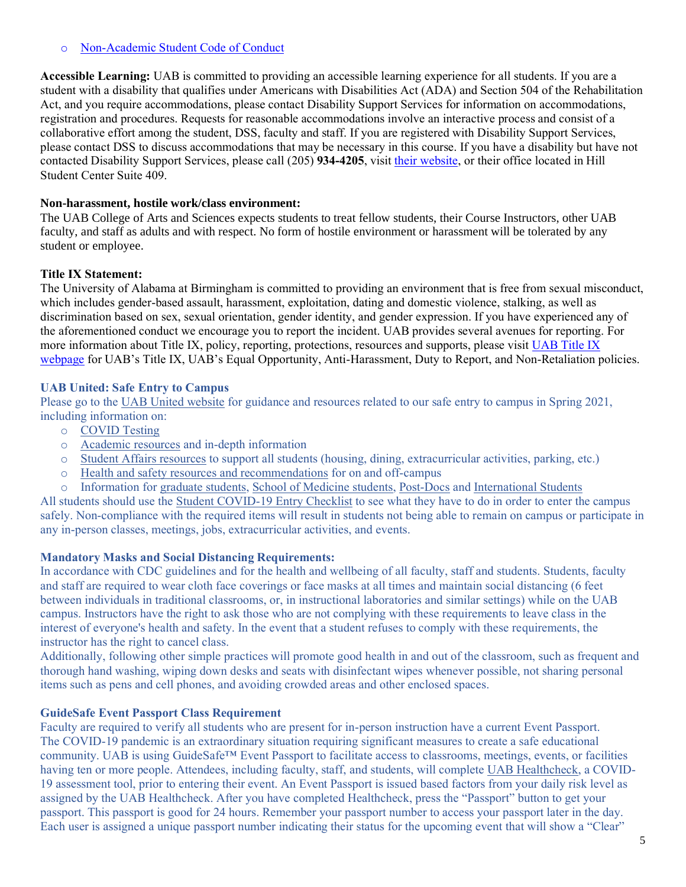### o [Non-Academic Student Code of Conduct](http://www.uab.edu/studentconduct)

**Accessible Learning:** UAB is committed to providing an accessible learning experience for all students. If you are a student with a disability that qualifies under Americans with Disabilities Act (ADA) and Section 504 of the Rehabilitation Act, and you require accommodations, please contact Disability Support Services for information on accommodations, registration and procedures. Requests for reasonable accommodations involve an interactive process and consist of a collaborative effort among the student, DSS, faculty and staff. If you are registered with Disability Support Services, please contact DSS to discuss accommodations that may be necessary in this course. If you have a disability but have not contacted Disability Support Services, please call (205) **934-4205**, visit [their website,](http://www.uab.edu/dss) or their office located in Hill Student Center Suite 409.

### **Non-harassment, hostile work/class environment:**

The UAB College of Arts and Sciences expects students to treat fellow students, their Course Instructors, other UAB faculty, and staff as adults and with respect. No form of hostile environment or harassment will be tolerated by any student or employee.

### **Title IX Statement:**

The University of Alabama at Birmingham is committed to providing an environment that is free from sexual misconduct, which includes gender-based assault, harassment, exploitation, dating and domestic violence, stalking, as well as discrimination based on sex, sexual orientation, gender identity, and gender expression. If you have experienced any of the aforementioned conduct we encourage you to report the incident. UAB provides several avenues for reporting. For more information about Title IX, policy, reporting, protections, resources and supports, please visit UAB Title IX [webpage](http://www.uab.edu/titleix) for UAB's Title IX, UAB's Equal Opportunity, Anti-Harassment, Duty to Report, and Non-Retaliation policies.

### **UAB United: Safe Entry to Campus**

Please go to the [UAB United website](https://www.uab.edu/uabunited/students) for guidance and resources related to our safe entry to campus in Spring 2021, including information on:

- o [COVID Testing](https://www.uab.edu/uabunited/students/testing)
- o [Academic resources](https://www.uab.edu/uabunited/students/academics) and in-depth information
- o [Student Affairs resources](https://www.uab.edu/uabunited/students/student-affairs) to support all students (housing, dining, extracurricular activities, parking, etc.)
- o [Health and safety resources and recommendations](https://www.uab.edu/uabunited/students/health-safety) for on and off-campus
- o Information for [graduate students,](https://www.uab.edu/graduate/about/graduate-school-covid-19-updates) [School of Medicine students,](https://www.uab.edu/medicine/home/covid-19-updates) [Post-Docs](https://www.uab.edu/postdocs/covid-19) and [International Students](https://www.uab.edu/global/about/programs-services/isss/faqs-concerning-recent-sevp-guidance-and-covid-19-planning)

All students should use the [Student COVID-19 Entry Checklist](https://www.uab.edu/uabunited/entry-checklists#student-checklist) to see what they have to do in order to enter the campus safely. Non-compliance with the required items will result in students not being able to remain on campus or participate in any in-person classes, meetings, jobs, extracurricular activities, and events.

#### **Mandatory Masks and Social Distancing Requirements:**

In accordance with CDC guidelines and for the health and wellbeing of all faculty, staff and students. Students, faculty and staff are required to wear cloth face coverings or face masks at all times and maintain social distancing (6 feet between individuals in traditional classrooms, or, in instructional laboratories and similar settings) while on the UAB campus. Instructors have the right to ask those who are not complying with these requirements to leave class in the interest of everyone's health and safety. In the event that a student refuses to comply with these requirements, the instructor has the right to cancel class.

Additionally, following other simple practices will promote good health in and out of the classroom, such as frequent and thorough hand washing, wiping down desks and seats with disinfectant wipes whenever possible, not sharing personal items such as pens and cell phones, and avoiding crowded areas and other enclosed spaces.

#### **GuideSafe Event Passport Class Requirement**

Faculty are required to verify all students who are present for in-person instruction have a current Event Passport. The COVID-19 pandemic is an extraordinary situation requiring significant measures to create a safe educational community. UAB is using GuideSafe™ Event Passport to facilitate access to classrooms, meetings, events, or facilities having ten or more people. Attendees, including faculty, staff, and students, will complete [UAB Healthcheck,](https://www.uab.edu/uabunited/uab-healthcheck) a COVID-19 assessment tool, prior to entering their event. An Event Passport is issued based factors from your daily risk level as assigned by the UAB Healthcheck. After you have completed Healthcheck, press the "Passport" button to get your passport. This passport is good for 24 hours. Remember your passport number to access your passport later in the day. Each user is assigned a unique passport number indicating their status for the upcoming event that will show a "Clear"